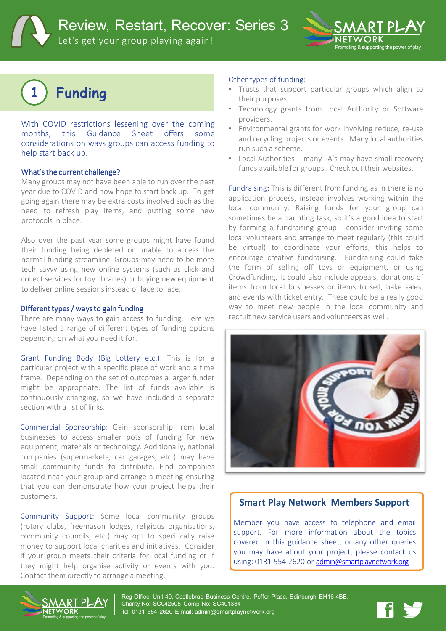Review, Restart, Recover: Series 3

Let's get your group playing again!



# **1 Funding**

With COVID restrictions lessening over the coming months, this Guidance Sheet offers some considerations on ways groups can access funding to help start back up.

## What's the current challenge?

Many groups may not have been able to run over the past year due to COVID and now hope to start back up. To get going again there may be extra costs involved such as the need to refresh play items, and putting some new protocols in place.

Also over the past year some groups might have found their funding being depleted or unable to access the normal funding streamline. Groups may need to be more tech savvy using new online systems (such as click and collect services for toy libraries) or buying new equipment to deliver online sessionsinstead of face to face.

#### Different types / ways to gain funding

There are many ways to gain access to funding. Here we have listed a range of different types of funding options depending on what you need it for.

Grant Funding Body (Big Lottery etc.): This is for a particular project with a specific piece of work and a time frame. Depending on the set of outcomes a larger funder might be appropriate. The list of funds available is continuously changing, so we have included a separate section with a list of links.

Commercial Sponsorship: Gain sponsorship from local businesses to access smaller pots of funding for new equipment, materials or technology. Additionally, national companies (supermarkets, car garages, etc.) may have small community funds to distribute. Find companies located near your group and arrange a meeting ensuring that you can demonstrate how your project helps their customers.

Community Support: Some local community groups (rotary clubs, freemason lodges, religious organisations, community councils, etc.) may opt to specifically raise money to support local charities and initiatives. Consider if your group meets their criteria for local funding or if they might help organise activity or events with you. Contact them directly to arrange a meeting.

### Other types of funding:

- Trusts that support particular groups which align to their purposes.
- Technology grants from Local Authority or Software providers.
- Environmental grants for work involving reduce, re-use and recycling projects or events. Many local authorities run such a scheme.
- Local Authorities many LA's may have small recovery funds available for groups. Check out their websites.

Fundraising: This is different from funding as in there is no application process, instead involves working within the local community. Raising funds for your group can sometimes be a daunting task, so it's a good idea to start by forming a fundraising group - consider inviting some local volunteers and arrange to meet regularly (this could be virtual) to coordinate your efforts, this helps to encourage creative fundraising. Fundraising could take the form of selling off toys or equipment, or using Crowdfunding. It could also include appeals, donations of items from local businesses or items to sell, bake sales, and events with ticket entry. These could be a really good way to meet new people in the local community and recruit new service users and volunteers as well.



# **Smart Play Network Members Support**

Member you have access to telephone and email support. For more information about the topics covered in this guidance sheet, or any other queries you may have about your project, please contact us using: 0131 554 2620 or [admin@smartplaynetwork.org](mailto:admin@smartplaynetwork.org)



Reg Office: Unit 40, Castlebrae Business Centre, Peffer Place, Edinburgh EH16 4BB. Charity No: SC042505 Comp No: SC401334 Tel: 0131 554 2620 E-mail: admin@smartplaynetwork.org